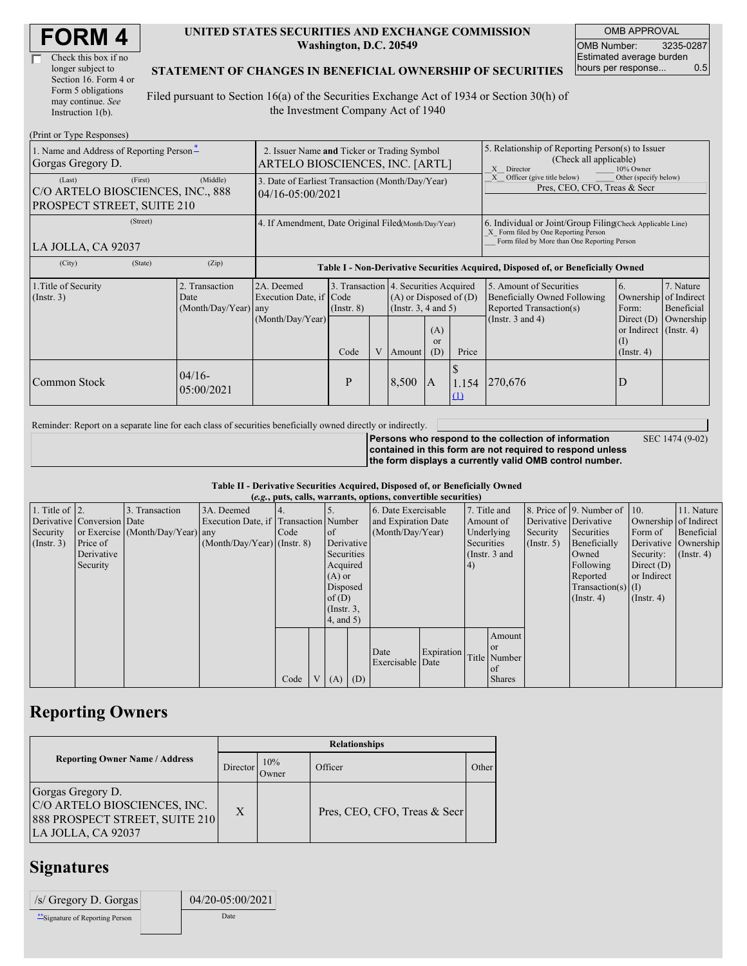| <b>FORM4</b> |
|--------------|
|--------------|

| Check this box if no  |
|-----------------------|
| longer subject to     |
| Section 16. Form 4 or |
| Form 5 obligations    |
| may continue. See     |
| Instruction 1(b).     |

#### **UNITED STATES SECURITIES AND EXCHANGE COMMISSION Washington, D.C. 20549**

OMB APPROVAL OMB Number: 3235-0287 Estimated average burden hours per response... 0.5

#### **STATEMENT OF CHANGES IN BENEFICIAL OWNERSHIP OF SECURITIES**

Filed pursuant to Section 16(a) of the Securities Exchange Act of 1934 or Section 30(h) of the Investment Company Act of 1940

| (Print or Type Responses)                                                            |                                                                                |                                       |                 |   |                                                                                                 |                             |                                                                                                                                                    |                                                                                                                                                          |                                                               |           |
|--------------------------------------------------------------------------------------|--------------------------------------------------------------------------------|---------------------------------------|-----------------|---|-------------------------------------------------------------------------------------------------|-----------------------------|----------------------------------------------------------------------------------------------------------------------------------------------------|----------------------------------------------------------------------------------------------------------------------------------------------------------|---------------------------------------------------------------|-----------|
| 1. Name and Address of Reporting Person-<br>Gorgas Gregory D.                        | 2. Issuer Name and Ticker or Trading Symbol<br>ARTELO BIOSCIENCES, INC. [ARTL] |                                       |                 |   |                                                                                                 |                             | 5. Relationship of Reporting Person(s) to Issuer<br>(Check all applicable)<br>X Director<br>10% Owner                                              |                                                                                                                                                          |                                                               |           |
| (First)<br>(Last)<br>C/O ARTELO BIOSCIENCES, INC., 888<br>PROSPECT STREET, SUITE 210 | 3. Date of Earliest Transaction (Month/Day/Year)<br>$04/16 - 05:00/2021$       |                                       |                 |   |                                                                                                 |                             | Other (specify below)<br>Officer (give title below)<br>Pres, CEO, CFO, Treas & Secr                                                                |                                                                                                                                                          |                                                               |           |
| (Street)<br>LA JOLLA, CA 92037                                                       | 4. If Amendment, Date Original Filed Month/Day/Year)                           |                                       |                 |   |                                                                                                 |                             | 6. Individual or Joint/Group Filing Check Applicable Line)<br>X Form filed by One Reporting Person<br>Form filed by More than One Reporting Person |                                                                                                                                                          |                                                               |           |
| (City)<br>(State)                                                                    | (Zip)                                                                          |                                       |                 |   |                                                                                                 |                             |                                                                                                                                                    | Table I - Non-Derivative Securities Acquired, Disposed of, or Beneficially Owned                                                                         |                                                               |           |
| 1. Title of Security<br>(Insert. 3)                                                  | 2. Transaction<br>Date<br>(Month/Day/Year) any                                 | 2A. Deemed<br>Execution Date, if Code | $($ Instr. $8)$ |   | 3. Transaction 4. Securities Acquired<br>$(A)$ or Disposed of $(D)$<br>(Instr. $3, 4$ and $5$ ) |                             |                                                                                                                                                    | 5. Amount of Securities<br>7. Nature<br>6.<br>Beneficially Owned Following<br>of Indirect<br>Ownership<br>Reported Transaction(s)<br>Beneficial<br>Form: |                                                               |           |
|                                                                                      |                                                                                | (Month/Day/Year)                      | Code            | V | Amount                                                                                          | (A)<br><sub>or</sub><br>(D) | Price                                                                                                                                              | (Instr. $3$ and $4$ )                                                                                                                                    | Direct $(D)$<br>or Indirect $($ Instr. 4)<br>$($ Instr. 4 $)$ | Ownership |
| Common Stock                                                                         | $04/16-$<br>05:00/2021                                                         |                                       | P               |   | 8,500                                                                                           | A                           | 1.154<br>(1)                                                                                                                                       | 1270,676                                                                                                                                                 | D                                                             |           |

Reminder: Report on a separate line for each class of securities beneficially owned directly or indirectly.

**Persons who respond to the collection of information contained in this form are not required to respond unless the form displays a currently valid OMB control number.** SEC 1474 (9-02)

**Table II - Derivative Securities Acquired, Disposed of, or Beneficially Owned (***e.g.***, puts, calls, warrants, options, convertible securities)**

|                        | $(0.5, 0.005, 0.005, 0.0005, 0.00005, 0.0000, 0.0000, 0.0000, 0.0000, 0.0000, 0.0000, 0.0000, 0.0000, 0.0000, 0.0000, 0.0000, 0.0000, 0.0000, 0.0000, 0.0000, 0.0000, 0.0000, 0.0000, 0.0000, 0.0000, 0.0000, 0.0000, 0.0000,$ |                                  |                                       |      |  |                 |  |                     |            |            |               |                       |                              |                       |                      |
|------------------------|--------------------------------------------------------------------------------------------------------------------------------------------------------------------------------------------------------------------------------|----------------------------------|---------------------------------------|------|--|-----------------|--|---------------------|------------|------------|---------------|-----------------------|------------------------------|-----------------------|----------------------|
| 1. Title of $\vert$ 2. |                                                                                                                                                                                                                                | 3. Transaction                   | 3A. Deemed                            |      |  |                 |  | 6. Date Exercisable |            |            | 7. Title and  |                       | 8. Price of 9. Number of 10. |                       | 11. Nature           |
|                        | Derivative Conversion Date                                                                                                                                                                                                     |                                  | Execution Date, if Transaction Number |      |  |                 |  | and Expiration Date |            |            | Amount of     | Derivative Derivative |                              | Ownership of Indirect |                      |
| Security               |                                                                                                                                                                                                                                | or Exercise (Month/Day/Year) any |                                       | Code |  | <sub>of</sub>   |  | (Month/Day/Year)    |            |            | Underlying    | Security              | Securities                   | Form of               | Beneficial           |
| (Insert. 3)            | Price of                                                                                                                                                                                                                       |                                  | $(Month/Day/Year)$ (Instr. 8)         |      |  | Derivative      |  |                     |            | Securities |               | (Insert, 5)           | Beneficially                 |                       | Derivative Ownership |
|                        | Derivative                                                                                                                                                                                                                     |                                  |                                       |      |  | Securities      |  |                     |            |            | (Instr. 3 and |                       | Owned                        | Security:             | $($ Instr. 4)        |
|                        | Security                                                                                                                                                                                                                       |                                  |                                       |      |  | Acquired        |  |                     |            | 4)         |               |                       | Following                    | Direct $(D)$          |                      |
|                        |                                                                                                                                                                                                                                |                                  |                                       |      |  | $(A)$ or        |  |                     |            |            |               |                       | Reported                     | or Indirect           |                      |
|                        |                                                                                                                                                                                                                                |                                  |                                       |      |  | Disposed        |  |                     |            |            |               |                       | $Transaction(s)$ (I)         |                       |                      |
|                        |                                                                                                                                                                                                                                |                                  |                                       |      |  | of $(D)$        |  |                     |            |            |               |                       | $($ Instr. 4 $)$             | $($ Instr. 4 $)$      |                      |
|                        |                                                                                                                                                                                                                                |                                  |                                       |      |  | $($ Instr. $3,$ |  |                     |            |            |               |                       |                              |                       |                      |
|                        |                                                                                                                                                                                                                                |                                  |                                       |      |  | $4$ , and 5)    |  |                     |            |            |               |                       |                              |                       |                      |
|                        |                                                                                                                                                                                                                                |                                  |                                       |      |  |                 |  |                     |            |            | Amount        |                       |                              |                       |                      |
|                        |                                                                                                                                                                                                                                |                                  |                                       |      |  |                 |  | Date                | Expiration |            | or or         |                       |                              |                       |                      |
|                        |                                                                                                                                                                                                                                |                                  |                                       |      |  |                 |  | Exercisable Date    |            |            | Title Number  |                       |                              |                       |                      |
|                        |                                                                                                                                                                                                                                |                                  |                                       |      |  |                 |  |                     |            |            | of            |                       |                              |                       |                      |
|                        |                                                                                                                                                                                                                                |                                  |                                       | Code |  | V   (A)   (D)   |  |                     |            |            | <b>Shares</b> |                       |                              |                       |                      |

## **Reporting Owners**

|                                                                                                           | <b>Relationships</b> |              |                              |       |  |  |  |  |
|-----------------------------------------------------------------------------------------------------------|----------------------|--------------|------------------------------|-------|--|--|--|--|
| <b>Reporting Owner Name / Address</b>                                                                     | Director             | 10%<br>Owner | Officer                      | Other |  |  |  |  |
| Gorgas Gregory D.<br>C/O ARTELO BIOSCIENCES, INC.<br>888 PROSPECT STREET, SUITE 210<br>LA JOLLA, CA 92037 | X                    |              | Pres, CEO, CFO, Treas & Secr |       |  |  |  |  |

## **Signatures**

| /s/ Gregory D. Gorgas            | 04/20-05:00/2021 |
|----------------------------------|------------------|
| ** Signature of Reporting Person | Date             |